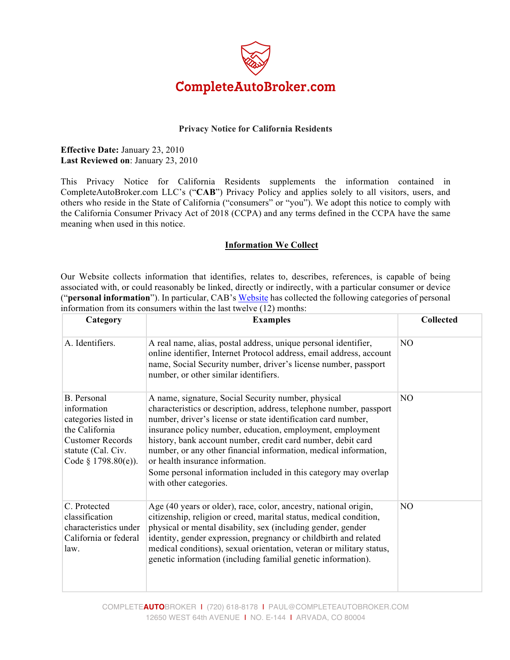

### **Privacy Notice for California Residents**

**Effective Date:** January 23, 2010 **Last Reviewed on**: January 23, 2010

This Privacy Notice for California Residents supplements the information contained in CompleteAutoBroker.com LLC's ("**CAB**") Privacy Policy and applies solely to all visitors, users, and others who reside in the State of California ("consumers" or "you"). We adopt this notice to comply with the California Consumer Privacy Act of 2018 (CCPA) and any terms defined in the CCPA have the same meaning when used in this notice.

### **Information We Collect**

Our Website collects information that identifies, relates to, describes, references, is capable of being associated with, or could reasonably be linked, directly or indirectly, with a particular consumer or device ("**personal information**"). In particular, CAB's Website has collected the following categories of personal information from its consumers within the last twelve (12) months:

| Category                                                                                                                                       | <b>Examples</b>                                                                                                                                                                                                                                                                                                                                                                                                                                                                                                                | <b>Collected</b> |
|------------------------------------------------------------------------------------------------------------------------------------------------|--------------------------------------------------------------------------------------------------------------------------------------------------------------------------------------------------------------------------------------------------------------------------------------------------------------------------------------------------------------------------------------------------------------------------------------------------------------------------------------------------------------------------------|------------------|
| A. Identifiers.                                                                                                                                | A real name, alias, postal address, unique personal identifier,<br>online identifier, Internet Protocol address, email address, account<br>name, Social Security number, driver's license number, passport<br>number, or other similar identifiers.                                                                                                                                                                                                                                                                            | NO               |
| B. Personal<br>information<br>categories listed in<br>the California<br><b>Customer Records</b><br>statute (Cal. Civ.<br>Code $§$ 1798.80(e)). | A name, signature, Social Security number, physical<br>characteristics or description, address, telephone number, passport<br>number, driver's license or state identification card number,<br>insurance policy number, education, employment, employment<br>history, bank account number, credit card number, debit card<br>number, or any other financial information, medical information,<br>or health insurance information.<br>Some personal information included in this category may overlap<br>with other categories. | NO               |
| C. Protected<br>classification<br>characteristics under<br>California or federal<br>law.                                                       | Age (40 years or older), race, color, ancestry, national origin,<br>citizenship, religion or creed, marital status, medical condition,<br>physical or mental disability, sex (including gender, gender<br>identity, gender expression, pregnancy or childbirth and related<br>medical conditions), sexual orientation, veteran or military status,<br>genetic information (including familial genetic information).                                                                                                            | N <sub>O</sub>   |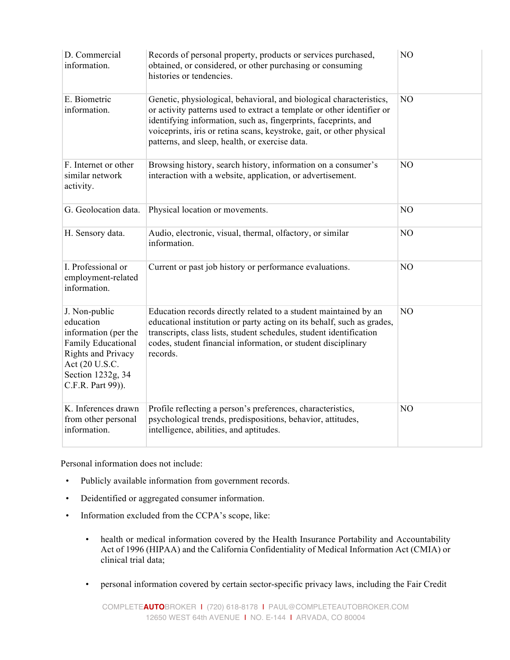| D. Commercial<br>information.                                                                                                                              | Records of personal property, products or services purchased,<br>obtained, or considered, or other purchasing or consuming<br>histories or tendencies.                                                                                                                                                                                      | N <sub>O</sub> |
|------------------------------------------------------------------------------------------------------------------------------------------------------------|---------------------------------------------------------------------------------------------------------------------------------------------------------------------------------------------------------------------------------------------------------------------------------------------------------------------------------------------|----------------|
| E. Biometric<br>information.                                                                                                                               | Genetic, physiological, behavioral, and biological characteristics,<br>or activity patterns used to extract a template or other identifier or<br>identifying information, such as, fingerprints, faceprints, and<br>voiceprints, iris or retina scans, keystroke, gait, or other physical<br>patterns, and sleep, health, or exercise data. | NO             |
| F. Internet or other<br>similar network<br>activity.                                                                                                       | Browsing history, search history, information on a consumer's<br>interaction with a website, application, or advertisement.                                                                                                                                                                                                                 | N <sub>O</sub> |
| G. Geolocation data.                                                                                                                                       | Physical location or movements.                                                                                                                                                                                                                                                                                                             | NO             |
| H. Sensory data.                                                                                                                                           | Audio, electronic, visual, thermal, olfactory, or similar<br>information.                                                                                                                                                                                                                                                                   | NO             |
| I. Professional or<br>employment-related<br>information.                                                                                                   | Current or past job history or performance evaluations.                                                                                                                                                                                                                                                                                     | N <sub>O</sub> |
| J. Non-public<br>education<br>information (per the<br>Family Educational<br>Rights and Privacy<br>Act (20 U.S.C.<br>Section 1232g, 34<br>C.F.R. Part 99)). | Education records directly related to a student maintained by an<br>educational institution or party acting on its behalf, such as grades,<br>transcripts, class lists, student schedules, student identification<br>codes, student financial information, or student disciplinary<br>records.                                              | N <sub>O</sub> |
| K. Inferences drawn<br>from other personal<br>information.                                                                                                 | Profile reflecting a person's preferences, characteristics,<br>psychological trends, predispositions, behavior, attitudes,<br>intelligence, abilities, and aptitudes.                                                                                                                                                                       | NO             |

Personal information does not include:

- Publicly available information from government records.
- Deidentified or aggregated consumer information.
- Information excluded from the CCPA's scope, like:
	- health or medical information covered by the Health Insurance Portability and Accountability Act of 1996 (HIPAA) and the California Confidentiality of Medical Information Act (CMIA) or clinical trial data;
	- personal information covered by certain sector-specific privacy laws, including the Fair Credit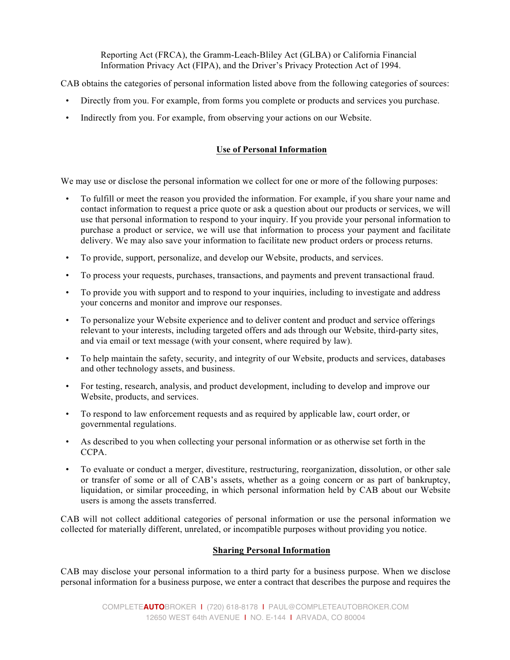Reporting Act (FRCA), the Gramm-Leach-Bliley Act (GLBA) or California Financial Information Privacy Act (FIPA), and the Driver's Privacy Protection Act of 1994.

CAB obtains the categories of personal information listed above from the following categories of sources:

- Directly from you. For example, from forms you complete or products and services you purchase.
- Indirectly from you. For example, from observing your actions on our Website.

## **Use of Personal Information**

We may use or disclose the personal information we collect for one or more of the following purposes:

- To fulfill or meet the reason you provided the information. For example, if you share your name and contact information to request a price quote or ask a question about our products or services, we will use that personal information to respond to your inquiry. If you provide your personal information to purchase a product or service, we will use that information to process your payment and facilitate delivery. We may also save your information to facilitate new product orders or process returns.
- To provide, support, personalize, and develop our Website, products, and services.
- To process your requests, purchases, transactions, and payments and prevent transactional fraud.
- To provide you with support and to respond to your inquiries, including to investigate and address your concerns and monitor and improve our responses.
- To personalize your Website experience and to deliver content and product and service offerings relevant to your interests, including targeted offers and ads through our Website, third-party sites, and via email or text message (with your consent, where required by law).
- To help maintain the safety, security, and integrity of our Website, products and services, databases and other technology assets, and business.
- For testing, research, analysis, and product development, including to develop and improve our Website, products, and services.
- To respond to law enforcement requests and as required by applicable law, court order, or governmental regulations.
- As described to you when collecting your personal information or as otherwise set forth in the CCPA.
- To evaluate or conduct a merger, divestiture, restructuring, reorganization, dissolution, or other sale or transfer of some or all of CAB's assets, whether as a going concern or as part of bankruptcy, liquidation, or similar proceeding, in which personal information held by CAB about our Website users is among the assets transferred.

CAB will not collect additional categories of personal information or use the personal information we collected for materially different, unrelated, or incompatible purposes without providing you notice.

### **Sharing Personal Information**

CAB may disclose your personal information to a third party for a business purpose. When we disclose personal information for a business purpose, we enter a contract that describes the purpose and requires the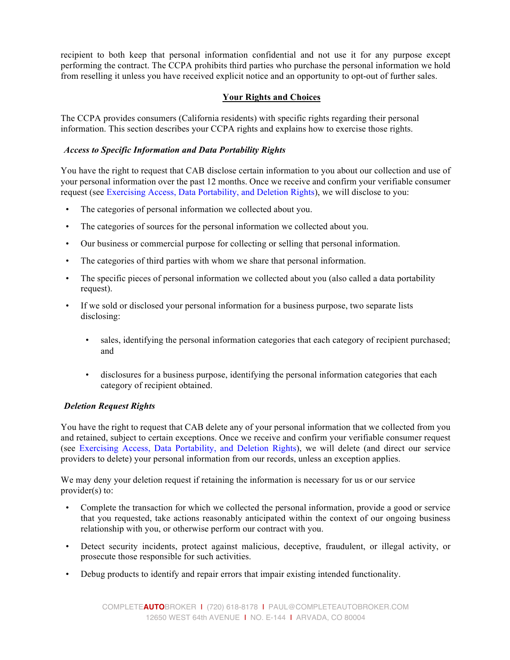recipient to both keep that personal information confidential and not use it for any purpose except performing the contract. The CCPA prohibits third parties who purchase the personal information we hold from reselling it unless you have received explicit notice and an opportunity to opt-out of further sales.

### **Your Rights and Choices**

The CCPA provides consumers (California residents) with specific rights regarding their personal information. This section describes your CCPA rights and explains how to exercise those rights.

### *Access to Specific Information and Data Portability Rights*

You have the right to request that CAB disclose certain information to you about our collection and use of your personal information over the past 12 months. Once we receive and confirm your verifiable consumer request (see Exercising Access, Data Portability, and Deletion Rights), we will disclose to you:

- The categories of personal information we collected about you.
- The categories of sources for the personal information we collected about you.
- Our business or commercial purpose for collecting or selling that personal information.
- The categories of third parties with whom we share that personal information.
- The specific pieces of personal information we collected about you (also called a data portability request).
- If we sold or disclosed your personal information for a business purpose, two separate lists disclosing:
	- sales, identifying the personal information categories that each category of recipient purchased; and
	- disclosures for a business purpose, identifying the personal information categories that each category of recipient obtained.

# *Deletion Request Rights*

You have the right to request that CAB delete any of your personal information that we collected from you and retained, subject to certain exceptions. Once we receive and confirm your verifiable consumer request (see Exercising Access, Data Portability, and Deletion Rights), we will delete (and direct our service providers to delete) your personal information from our records, unless an exception applies.

We may deny your deletion request if retaining the information is necessary for us or our service provider(s) to:

- Complete the transaction for which we collected the personal information, provide a good or service that you requested, take actions reasonably anticipated within the context of our ongoing business relationship with you, or otherwise perform our contract with you.
- Detect security incidents, protect against malicious, deceptive, fraudulent, or illegal activity, or prosecute those responsible for such activities.
- Debug products to identify and repair errors that impair existing intended functionality.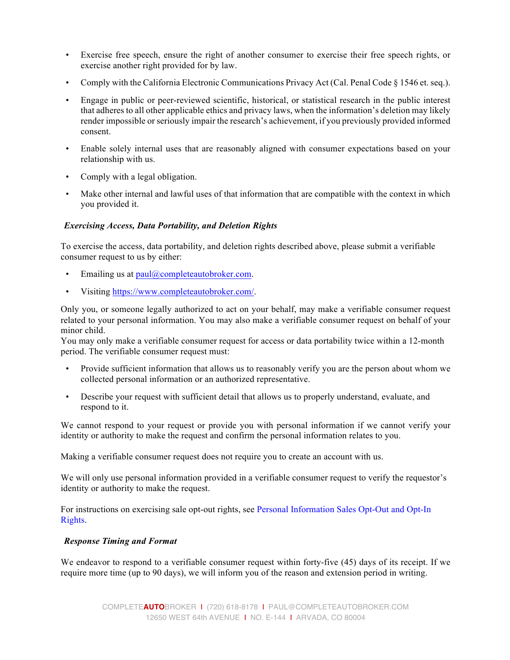- Exercise free speech, ensure the right of another consumer to exercise their free speech rights, or exercise another right provided for by law.
- Comply with the California Electronic Communications Privacy Act (Cal. Penal Code § 1546 et. seq.).
- Engage in public or peer-reviewed scientific, historical, or statistical research in the public interest that adheres to all other applicable ethics and privacy laws, when the information's deletion may likely render impossible or seriously impair the research's achievement, if you previously provided informed consent.
- Enable solely internal uses that are reasonably aligned with consumer expectations based on your relationship with us.
- Comply with a legal obligation.
- Make other internal and lawful uses of that information that are compatible with the context in which you provided it.

### *Exercising Access, Data Portability, and Deletion Rights*

To exercise the access, data portability, and deletion rights described above, please submit a verifiable consumer request to us by either:

- Emailing us at paul@completeautobroker.com.
- Visiting https://www.completeautobroker.com/.

Only you, or someone legally authorized to act on your behalf, may make a verifiable consumer request related to your personal information. You may also make a verifiable consumer request on behalf of your minor child.

You may only make a verifiable consumer request for access or data portability twice within a 12-month period. The verifiable consumer request must:

- Provide sufficient information that allows us to reasonably verify you are the person about whom we collected personal information or an authorized representative.
- Describe your request with sufficient detail that allows us to properly understand, evaluate, and respond to it.

We cannot respond to your request or provide you with personal information if we cannot verify your identity or authority to make the request and confirm the personal information relates to you.

Making a verifiable consumer request does not require you to create an account with us.

We will only use personal information provided in a verifiable consumer request to verify the requestor's identity or authority to make the request.

For instructions on exercising sale opt-out rights, see Personal Information Sales Opt-Out and Opt-In Rights.

### *Response Timing and Format*

We endeavor to respond to a verifiable consumer request within forty-five (45) days of its receipt. If we require more time (up to 90 days), we will inform you of the reason and extension period in writing.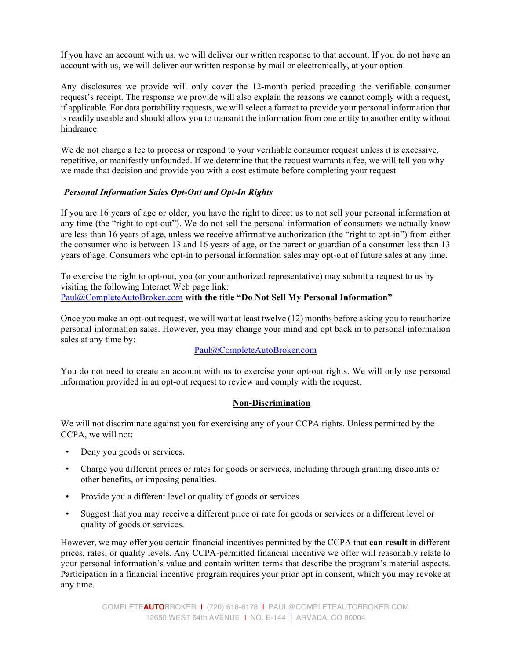If you have an account with us, we will deliver our written response to that account. If you do not have an account with us, we will deliver our written response by mail or electronically, at your option.

Any disclosures we provide will only cover the 12-month period preceding the verifiable consumer request's receipt. The response we provide will also explain the reasons we cannot comply with a request, if applicable. For data portability requests, we will select a format to provide your personal information that is readily useable and should allow you to transmit the information from one entity to another entity without hindrance.

We do not charge a fee to process or respond to your verifiable consumer request unless it is excessive, repetitive, or manifestly unfounded. If we determine that the request warrants a fee, we will tell you why we made that decision and provide you with a cost estimate before completing your request.

### *Personal Information Sales Opt-Out and Opt-In Rights*

If you are 16 years of age or older, you have the right to direct us to not sell your personal information at any time (the "right to opt-out"). We do not sell the personal information of consumers we actually know are less than 16 years of age, unless we receive affirmative authorization (the "right to opt-in") from either the consumer who is between 13 and 16 years of age, or the parent or guardian of a consumer less than 13 years of age. Consumers who opt-in to personal information sales may opt-out of future sales at any time.

To exercise the right to opt-out, you (or your authorized representative) may submit a request to us by visiting the following Internet Web page link: Paul@CompleteAutoBroker.com **with the title "Do Not Sell My Personal Information"**

Once you make an opt-out request, we will wait at least twelve (12) months before asking you to reauthorize personal information sales. However, you may change your mind and opt back in to personal information sales at any time by:

# Paul@CompleteAutoBroker.com

You do not need to create an account with us to exercise your opt-out rights. We will only use personal information provided in an opt-out request to review and comply with the request.

### **Non-Discrimination**

We will not discriminate against you for exercising any of your CCPA rights. Unless permitted by the CCPA, we will not:

- Deny you goods or services.
- Charge you different prices or rates for goods or services, including through granting discounts or other benefits, or imposing penalties.
- Provide you a different level or quality of goods or services.
- Suggest that you may receive a different price or rate for goods or services or a different level or quality of goods or services.

However, we may offer you certain financial incentives permitted by the CCPA that **can result** in different prices, rates, or quality levels. Any CCPA-permitted financial incentive we offer will reasonably relate to your personal information's value and contain written terms that describe the program's material aspects. Participation in a financial incentive program requires your prior opt in consent, which you may revoke at any time.